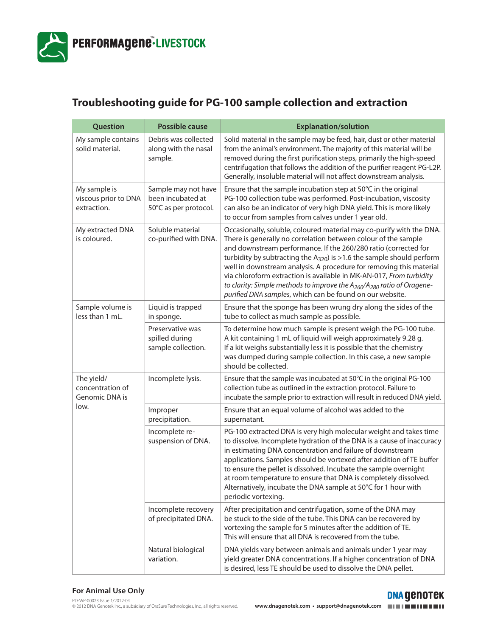

## **Troubleshooting guide for PG-100 sample collection and extraction**

| Question                                                 | <b>Possible cause</b>                                             | <b>Explanation/solution</b>                                                                                                                                                                                                                                                                                                                                                                                                                                                                                                                                                        |
|----------------------------------------------------------|-------------------------------------------------------------------|------------------------------------------------------------------------------------------------------------------------------------------------------------------------------------------------------------------------------------------------------------------------------------------------------------------------------------------------------------------------------------------------------------------------------------------------------------------------------------------------------------------------------------------------------------------------------------|
| My sample contains<br>solid material.                    | Debris was collected<br>along with the nasal<br>sample.           | Solid material in the sample may be feed, hair, dust or other material<br>from the animal's environment. The majority of this material will be<br>removed during the first purification steps, primarily the high-speed<br>centrifugation that follows the addition of the purifier reagent PG-L2P.<br>Generally, insoluble material will not affect downstream analysis.                                                                                                                                                                                                          |
| My sample is<br>viscous prior to DNA<br>extraction.      | Sample may not have<br>been incubated at<br>50°C as per protocol. | Ensure that the sample incubation step at 50°C in the original<br>PG-100 collection tube was performed. Post-incubation, viscosity<br>can also be an indicator of very high DNA yield. This is more likely<br>to occur from samples from calves under 1 year old.                                                                                                                                                                                                                                                                                                                  |
| My extracted DNA<br>is coloured.                         | Soluble material<br>co-purified with DNA.                         | Occasionally, soluble, coloured material may co-purify with the DNA.<br>There is generally no correlation between colour of the sample<br>and downstream performance. If the 260/280 ratio (corrected for<br>turbidity by subtracting the $A_{320}$ ) is >1.6 the sample should perform<br>well in downstream analysis. A procedure for removing this material<br>via chloroform extraction is available in MK-AN-017, From turbidity<br>to clarity: Simple methods to improve the $A_{260}/A_{280}$ ratio of Oragene-<br>purified DNA samples, which can be found on our website. |
| Sample volume is<br>less than 1 mL.                      | Liquid is trapped<br>in sponge.                                   | Ensure that the sponge has been wrung dry along the sides of the<br>tube to collect as much sample as possible.                                                                                                                                                                                                                                                                                                                                                                                                                                                                    |
|                                                          | Preservative was<br>spilled during<br>sample collection.          | To determine how much sample is present weigh the PG-100 tube.<br>A kit containing 1 mL of liquid will weigh approximately 9.28 g.<br>If a kit weighs substantially less it is possible that the chemistry<br>was dumped during sample collection. In this case, a new sample<br>should be collected.                                                                                                                                                                                                                                                                              |
| The yield/<br>concentration of<br>Genomic DNA is<br>low. | Incomplete lysis.                                                 | Ensure that the sample was incubated at 50°C in the original PG-100<br>collection tube as outlined in the extraction protocol. Failure to<br>incubate the sample prior to extraction will result in reduced DNA yield.                                                                                                                                                                                                                                                                                                                                                             |
|                                                          | Improper<br>precipitation.                                        | Ensure that an equal volume of alcohol was added to the<br>supernatant.                                                                                                                                                                                                                                                                                                                                                                                                                                                                                                            |
|                                                          | Incomplete re-<br>suspension of DNA.                              | PG-100 extracted DNA is very high molecular weight and takes time<br>to dissolve. Incomplete hydration of the DNA is a cause of inaccuracy<br>in estimating DNA concentration and failure of downstream<br>applications. Samples should be vortexed after addition of TE buffer<br>to ensure the pellet is dissolved. Incubate the sample overnight<br>at room temperature to ensure that DNA is completely dissolved.<br>Alternatively, incubate the DNA sample at 50°C for 1 hour with<br>periodic vortexing.                                                                    |
|                                                          | Incomplete recovery<br>of precipitated DNA.                       | After precipitation and centrifugation, some of the DNA may<br>be stuck to the side of the tube. This DNA can be recovered by<br>vortexing the sample for 5 minutes after the addition of TE.<br>This will ensure that all DNA is recovered from the tube.                                                                                                                                                                                                                                                                                                                         |
|                                                          | Natural biological<br>variation.                                  | DNA yields vary between animals and animals under 1 year may<br>yield greater DNA concentrations. If a higher concentration of DNA<br>is desired, less TE should be used to dissolve the DNA pellet.                                                                                                                                                                                                                                                                                                                                                                               |

**DNA GENOTEK**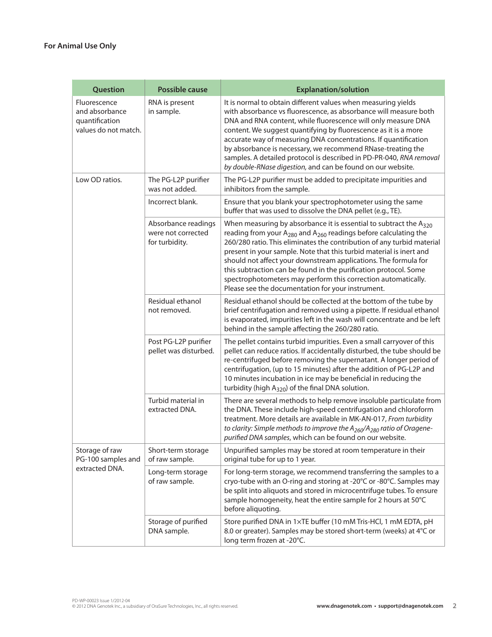| Question                                                                 | <b>Possible cause</b>                                       | <b>Explanation/solution</b>                                                                                                                                                                                                                                                                                                                                                                                                                                                                                                                                       |
|--------------------------------------------------------------------------|-------------------------------------------------------------|-------------------------------------------------------------------------------------------------------------------------------------------------------------------------------------------------------------------------------------------------------------------------------------------------------------------------------------------------------------------------------------------------------------------------------------------------------------------------------------------------------------------------------------------------------------------|
| Fluorescence<br>and absorbance<br>quantification<br>values do not match. | RNA is present<br>in sample.                                | It is normal to obtain different values when measuring yields<br>with absorbance vs fluorescence, as absorbance will measure both<br>DNA and RNA content, while fluorescence will only measure DNA<br>content. We suggest quantifying by fluorescence as it is a more<br>accurate way of measuring DNA concentrations. If quantification<br>by absorbance is necessary, we recommend RNase-treating the<br>samples. A detailed protocol is described in PD-PR-040, RNA removal<br>by double-RNase digestion, and can be found on our website.                     |
| Low OD ratios.                                                           | The PG-L2P purifier<br>was not added.                       | The PG-L2P purifier must be added to precipitate impurities and<br>inhibitors from the sample.                                                                                                                                                                                                                                                                                                                                                                                                                                                                    |
|                                                                          | Incorrect blank.                                            | Ensure that you blank your spectrophotometer using the same<br>buffer that was used to dissolve the DNA pellet (e.g., TE).                                                                                                                                                                                                                                                                                                                                                                                                                                        |
|                                                                          | Absorbance readings<br>were not corrected<br>for turbidity. | When measuring by absorbance it is essential to subtract the $A_{320}$<br>reading from your $A_{280}$ and $A_{260}$ readings before calculating the<br>260/280 ratio. This eliminates the contribution of any turbid material<br>present in your sample. Note that this turbid material is inert and<br>should not affect your downstream applications. The formula for<br>this subtraction can be found in the purification protocol. Some<br>spectrophotometers may perform this correction automatically.<br>Please see the documentation for your instrument. |
|                                                                          | Residual ethanol<br>not removed.                            | Residual ethanol should be collected at the bottom of the tube by<br>brief centrifugation and removed using a pipette. If residual ethanol<br>is evaporated, impurities left in the wash will concentrate and be left<br>behind in the sample affecting the 260/280 ratio.                                                                                                                                                                                                                                                                                        |
|                                                                          | Post PG-L2P purifier<br>pellet was disturbed.               | The pellet contains turbid impurities. Even a small carryover of this<br>pellet can reduce ratios. If accidentally disturbed, the tube should be<br>re-centrifuged before removing the supernatant. A longer period of<br>centrifugation, (up to 15 minutes) after the addition of PG-L2P and<br>10 minutes incubation in ice may be beneficial in reducing the<br>turbidity (high A <sub>320</sub> ) of the final DNA solution.                                                                                                                                  |
|                                                                          | Turbid material in<br>extracted DNA.                        | There are several methods to help remove insoluble particulate from<br>the DNA. These include high-speed centrifugation and chloroform<br>treatment. More details are available in MK-AN-017, From turbidity<br>to clarity: Simple methods to improve the $A_{260}/A_{280}$ ratio of Oragene-<br>purified DNA samples, which can be found on our website.                                                                                                                                                                                                         |
| Storage of raw<br>PG-100 samples and<br>extracted DNA.                   | Short-term storage<br>of raw sample.                        | Unpurified samples may be stored at room temperature in their<br>original tube for up to 1 year.                                                                                                                                                                                                                                                                                                                                                                                                                                                                  |
|                                                                          | Long-term storage<br>of raw sample.                         | For long-term storage, we recommend transferring the samples to a<br>cryo-tube with an O-ring and storing at -20°C or -80°C. Samples may<br>be split into aliquots and stored in microcentrifuge tubes. To ensure<br>sample homogeneity, heat the entire sample for 2 hours at 50°C<br>before aliquoting.                                                                                                                                                                                                                                                         |
|                                                                          | Storage of purified<br>DNA sample.                          | Store purified DNA in 1xTE buffer (10 mM Tris-HCl, 1 mM EDTA, pH<br>8.0 or greater). Samples may be stored short-term (weeks) at 4°C or<br>long term frozen at -20°C.                                                                                                                                                                                                                                                                                                                                                                                             |